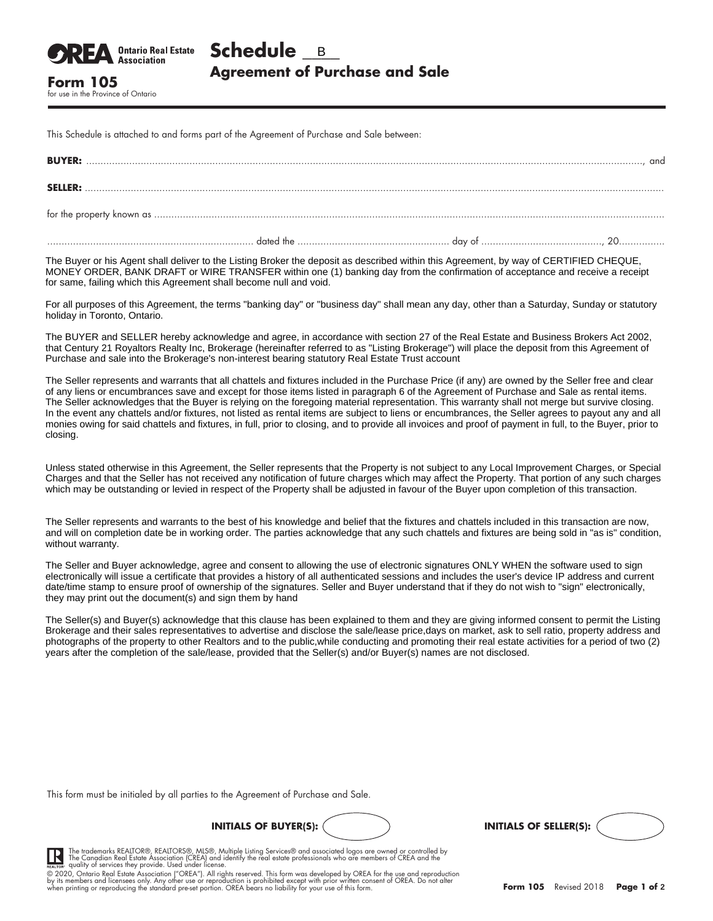This Schedule is attached to and forms part of the Agreement of Purchase and Sale between:

for use in the Province of Ontario

**Ontario Real Estate Association** 

| <b>BUYER:</b>  |  | . and |
|----------------|--|-------|
| <b>SELLER:</b> |  |       |
|                |  |       |
|                |  |       |

The Buyer or his Agent shall deliver to the Listing Broker the deposit as described within this Agreement, by way of CERTIFIED CHEQUE, MONEY ORDER, BANK DRAFT or WIRE TRANSFER within one (1) banking day from the confirmation of acceptance and receive a receipt for same, failing which this Agreement shall become null and void.

For all purposes of this Agreement, the terms "banking day" or "business day" shall mean any day, other than a Saturday, Sunday or statutory holiday in Toronto, Ontario.

The BUYER and SELLER hereby acknowledge and agree, in accordance with section 27 of the Real Estate and Business Brokers Act 2002, that Century 21 Royaltors Realty Inc, Brokerage (hereinafter referred to as "Listing Brokerage") will place the deposit from this Agreement of Purchase and sale into the Brokerage's non-interest bearing statutory Real Estate Trust account

The Seller represents and warrants that all chattels and fixtures included in the Purchase Price (if any) are owned by the Seller free and clear of any liens or encumbrances save and except for those items listed in paragraph 6 of the Agreement of Purchase and Sale as rental items. The Seller acknowledges that the Buyer is relying on the foregoing material representation. This warranty shall not merge but survive closing. In the event any chattels and/or fixtures, not listed as rental items are subject to liens or encumbrances, the Seller agrees to payout any and all monies owing for said chattels and fixtures, in full, prior to closing, and to provide all invoices and proof of payment in full, to the Buyer, prior to closing.

Unless stated otherwise in this Agreement, the Seller represents that the Property is not subject to any Local Improvement Charges, or Special Charges and that the Seller has not received any notification of future charges which may affect the Property. That portion of any such charges which may be outstanding or levied in respect of the Property shall be adjusted in favour of the Buyer upon completion of this transaction.

The Seller represents and warrants to the best of his knowledge and belief that the fixtures and chattels included in this transaction are now, and will on completion date be in working order. The parties acknowledge that any such chattels and fixtures are being sold in "as is" condition, without warranty.

The Seller and Buyer acknowledge, agree and consent to allowing the use of electronic signatures ONLY WHEN the software used to sign electronically will issue a certificate that provides a history of all authenticated sessions and includes the user's device IP address and current date/time stamp to ensure proof of ownership of the signatures. Seller and Buyer understand that if they do not wish to "sign" electronically, they may print out the document(s) and sign them by hand

The Seller(s) and Buyer(s) acknowledge that this clause has been explained to them and they are giving informed consent to permit the Listing Brokerage and their sales representatives to advertise and disclose the sale/lease price,days on market, ask to sell ratio, property address and photographs of the property to other Realtors and to the public,while conducting and promoting their real estate activities for a period of two (2) years after the completion of the sale/lease, provided that the Seller(s) and/or Buyer(s) names are not disclosed.

This form must be initialed by all parties to the Agreement of Purchase and Sale.





The trademarks REALTOR®, REALTORS®, MLS®, Multiple Listing Services® and associated logos are owned or controlled by<br>The Canadian Real Estate Association (CREA) and identify the real estate professionals who are members of

© 2020, Ontario Real Estate Association ("OREA"). All rights reserved. This form was developed by OREA for the use and reproduction<br>by its members and licensees only. Any other use or reproduction is prohibited except with